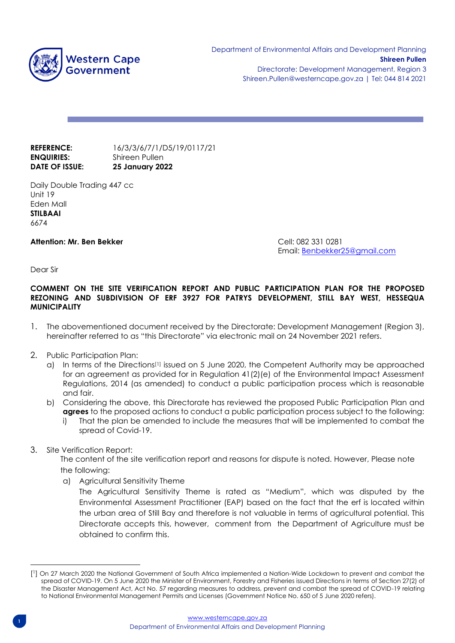

# **ENQUIRIES:** Shireen Pullen

**REFERENCE:** 16/3/3/6/7/1/D5/19/0117/21 **DATE OF ISSUE: 25 January 2022**

Daily Double Trading 447 cc Unit 19 Eden Mall **STILBAAI** 6674

**Attention: Mr. Ben Bekker** Cell: 082 331 0281

Email: [Benbekker25@gmail.com](mailto:Benbekker25@gmail.com)

Dear Sir

#### **COMMENT ON THE SITE VERIFICATION REPORT AND PUBLIC PARTICIPATION PLAN FOR THE PROPOSED REZONING AND SUBDIVISION OF ERF 3927 FOR PATRYS DEVELOPMENT, STILL BAY WEST, HESSEQUA MUNICIPALITY**

- 1. The abovementioned document received by the Directorate: Development Management (Region 3), hereinafter referred to as "this Directorate" via electronic mail on 24 November 2021 refers.
- 2. Public Participation Plan:
	- a) In terms of the Directions<sup>[1]</sup> issued on 5 June 2020, the Competent Authority may be approached for an agreement as provided for in Regulation 41(2)(e) of the Environmental Impact Assessment Regulations, 2014 (as amended) to conduct a public participation process which is reasonable and fair.
	- b) Considering the above, this Directorate has reviewed the proposed Public Participation Plan and **agrees** to the proposed actions to conduct a public participation process subject to the following:
		- i) That the plan be amended to include the measures that will be implemented to combat the spread of Covid-19.
- 3. Site Verification Report:

The content of the site verification report and reasons for dispute is noted. However, Please note the following:

a) Agricultural Sensitivity Theme

The Agricultural Sensitivity Theme is rated as "Medium", which was disputed by the Environmental Assessment Practitioner (EAP) based on the fact that the erf is located within the urban area of Still Bay and therefore is not valuable in terms of agricultural potential. This Directorate accepts this, however, comment from the Department of Agriculture must be obtained to confirm this.

<sup>[</sup> 1 ] On 27 March 2020 the National Government of South Africa implemented a Nation-Wide Lockdown to prevent and combat the spread of COVID-19. On 5 June 2020 the Minister of Environment, Forestry and Fisheries issued Directions in terms of Section 27(2) of the Disaster Management Act, Act No. 57 regarding measures to address, prevent and combat the spread of COVID-19 relating to National Environmental Management Permits and Licenses (Government Notice No. 650 of 5 June 2020 refers).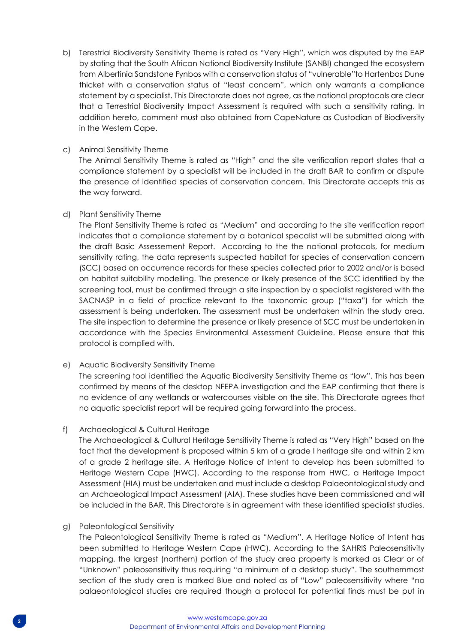b) Terestrial Biodiversity Sensitivity Theme is rated as "Very High", which was disputed by the EAP by stating that the South African National Biodiversity Institute (SANBI) changed the ecosystem from Albertinia Sandstone Fynbos with a conservation status of "vulnerable"to Hartenbos Dune thicket with a conservation status of "least concern", which only warrants a compliance statement by a specialist. This Directorate does not agree, as the national proptocols are clear that a Terrestrial Biodiversity Impact Assessment is required with such a sensitivity rating. In addition hereto, comment must also obtained from CapeNature as Custodian of Biodiversity in the Western Cape.

#### c) Animal Sensitivity Theme

The Animal Sensitivity Theme is rated as "High" and the site verification report states that a compliance statement by a specialist will be included in the draft BAR to confirm or dispute the presence of identified species of conservation concern. This Directorate accepts this as the way forward.

#### d) Plant Sensitivity Theme

The Plant Sensitivity Theme is rated as "Medium" and according to the site verification report indicates that a compliance statement by a botanical specalist will be submitted along with the draft Basic Assessement Report. According to the the national protocols, for medium sensitivity rating, the data represents suspected habitat for species of conservation concern (SCC) based on occurrence records for these species collected prior to 2002 and/or is based on habitat suitability modelling. The presence or likely presence of the SCC identified by the screening tool, must be confirmed through a site inspection by a specialist registered with the SACNASP in a field of practice relevant to the taxonomic group ("taxa") for which the assessment is being undertaken. The assessment must be undertaken within the study area. The site inspection to determine the presence or likely presence of SCC must be undertaken in accordance with the Species Environmental Assessment Guideline. Please ensure that this protocol is complied with.

## e) Aquatic Biodiversity Sensitivity Theme

The screening tool identified the Aquatic Biodiversity Sensitivity Theme as "low". This has been confirmed by means of the desktop NFEPA investigation and the EAP confirming that there is no evidence of any wetlands or watercourses visible on the site. This Directorate agrees that no aquatic specialist report will be required going forward into the process.

## f) Archaeological & Cultural Heritage

The Archaeological & Cultural Heritage Sensitivity Theme is rated as "Very High" based on the fact that the development is proposed within 5 km of a grade I heritage site and within 2 km of a grade 2 heritage site. A Heritage Notice of Intent to develop has been submitted to Heritage Western Cape (HWC). According to the response from HWC, a Heritage Impact Assessment (HIA) must be undertaken and must include a desktop Palaeontological study and an Archaeological Impact Assessment (AIA). These studies have been commissioned and will be included in the BAR. This Directorate is in agreement with these identified specialist studies.

#### g) Paleontological Sensitivity

The Paleontological Sensitivity Theme is rated as "Medium". A Heritage Notice of Intent has been submitted to Heritage Western Cape (HWC). According to the SAHRIS Paleosensitivity mapping, the largest (northern) portion of the study area property is marked as Clear or of "Unknown" paleosensitivity thus requiring "a minimum of a desktop study". The southernmost section of the study area is marked Blue and noted as of "Low" paleosensitivity where "no palaeontological studies are required though a protocol for potential finds must be put in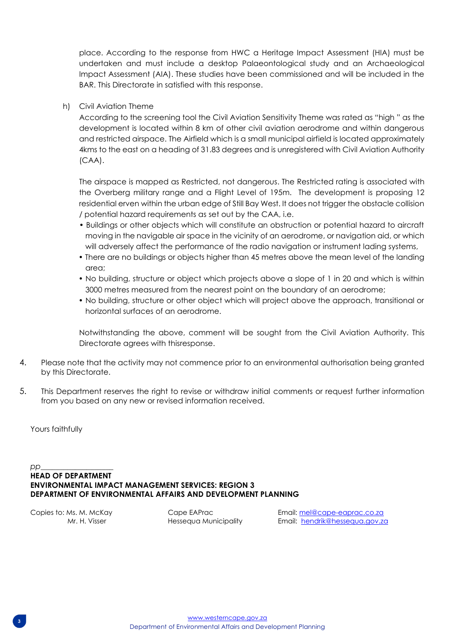place. According to the response from HWC a Heritage Impact Assessment (HIA) must be undertaken and must include a desktop Palaeontological study and an Archaeological Impact Assessment (AIA). These studies have been commissioned and will be included in the BAR. This Directorate in satisfied with this response.

h) Civil Aviation Theme

According to the screening tool the Civil Aviation Sensitivity Theme was rated as "high " as the development is located within 8 km of other civil aviation aerodrome and within dangerous and restricted airspace. The Airfield which is a small municipal airfield is located approximately 4kms to the east on a heading of 31.83 degrees and is unregistered with Civil Aviation Authority (CAA).

The airspace is mapped as Restricted, not dangerous. The Restricted rating is associated with the Overberg military range and a Flight Level of 195m. The development is proposing 12 residential erven within the urban edge of Still Bay West. It does not trigger the obstacle collision / potential hazard requirements as set out by the CAA, i.e.

- Buildings or other objects which will constitute an obstruction or potential hazard to aircraft moving in the navigable air space in the vicinity of an aerodrome, or navigation aid, or which will adversely affect the performance of the radio navigation or instrument lading systems,
- There are no buildings or objects higher than 45 metres above the mean level of the landing area;
- No building, structure or object which projects above a slope of 1 in 20 and which is within 3000 metres measured from the nearest point on the boundary of an aerodrome;
- No building, structure or other object which will project above the approach, transitional or horizontal surfaces of an aerodrome.

Notwithstanding the above, comment will be sought from the Civil Aviation Authority. This Directorate agrees with thisresponse.

- 4. Please note that the activity may not commence prior to an environmental authorisation being granted by this Directorate.
- 5. This Department reserves the right to revise or withdraw initial comments or request further information from you based on any new or revised information received.

Yours faithfully

#### *pp*\_\_\_\_\_\_\_\_\_\_\_\_\_\_\_\_\_\_\_ **HEAD OF DEPARTMENT ENVIRONMENTAL IMPACT MANAGEMENT SERVICES: REGION 3 DEPARTMENT OF ENVIRONMENTAL AFFAIRS AND DEVELOPMENT PLANNING**

Copies to: Ms. M. McKay Cape EAPrac Email[: mel@cape-eaprac.co.za](mailto:mel@cape-eaprac.co.za) Mr. H. Visser **Hessequa Municipality** Email: [hendrik@hessequa.gov.za](mailto:hendrik@hessequa.gov.za)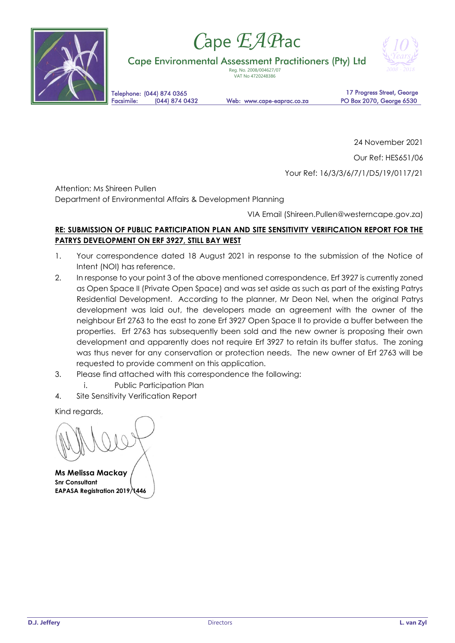

# *C*ape *EAP*rac

Cape Environmental Assessment Practitioners (Pty) Ltd

Reg. No. 2008/004627/07 VAT No 4720248386



Telephone: (044) 874 0365<br>Facsimile: (044) 874 0432

Web: www.cape-eaprac.co.za

17 Progress Street, George PO Box 2070, George 6530

24 November 2021 Our Ref: HES651/06

Your Ref: 16/3/3/6/7/1/D5/19/0117/21

Attention: Ms Shireen Pullen

Department of Environmental Affairs & Development Planning

VIA Email (Shireen.Pullen@westerncape.gov.za)

# **RE: SUBMISSION OF PUBLIC PARTICIPATION PLAN AND SITE SENSITIVITY VERIFICATION REPORT FOR THE PATRYS DEVELOPMENT ON ERF 3927, STILL BAY WEST**

- 1. Your correspondence dated 18 August 2021 in response to the submission of the Notice of Intent (NOI) has reference.
- 2. In response to your point 3 of the above mentioned correspondence, Erf 3927 is currently zoned as Open Space II (Private Open Space) and was set aside as such as part of the existing Patrys Residential Development. According to the planner, Mr Deon Nel, when the original Patrys development was laid out, the developers made an agreement with the owner of the neighbour Erf 2763 to the east to zone Erf 3927 Open Space II to provide a buffer between the properties. Erf 2763 has subsequently been sold and the new owner is proposing their own development and apparently does not require Erf 3927 to retain its buffer status. The zoning was thus never for any conservation or protection needs. The new owner of Erf 2763 will be requested to provide comment on this application.
- 3. Please find attached with this correspondence the following:
- i. Public Participation Plan
- 4. Site Sensitivity Verification Report

Kind regards,

**Ms Melissa Mackay Snr Consultant EAPASA Registration 2019/1446**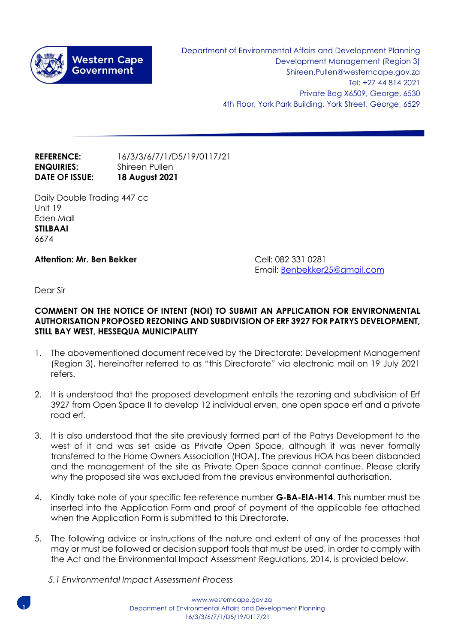

Department of Environmental Affairs and Development Planning Development Management (Region 3) Shireen.Pullen@westerncape.gov.za Tel: +27 44 814 2021 Private Bag X6509, George, 6530 4th Floor, York Park Building, York Street, George, 6529

# **REFERENCE:** 16/3/3/6/7/1/D5/19/0117/21 **ENQUIRIES:** Shireen Pullen **DATE OF ISSUE: 18 August 2021**

Daily Double Trading 447 cc Unit 19 Eden Mall **STILBAAI** 6674

# **Attention: Mr. Ben Bekker** Cell: 082 331 0281

Email: [Benbekker25@gmail.com](mailto:Benbekker25@gmail.com)

Dear Sir

## **COMMENT ON THE NOTICE OF INTENT (NOI) TO SUBMIT AN APPLICATION FOR ENVIRONMENTAL AUTHORISATION PROPOSED REZONING AND SUBDIVISION OF ERF 3927 FOR PATRYS DEVELOPMENT, STILL BAY WEST, HESSEQUA MUNICIPALITY**

- 1. The abovementioned document received by the Directorate: Development Management (Region 3), hereinafter referred to as "this Directorate" via electronic mail on 19 July 2021 refers.
- 2. It is understood that the proposed development entails the rezoning and subdivision of Erf 3927 from Open Space II to develop 12 individual erven, one open space erf and a private road erf.
- 3. It is also understood that the site previously formed part of the Patrys Development to the west of it and was set aside as Private Open Space, although it was never formally transferred to the Home Owners Association (HOA). The previous HOA has been disbanded and the management of the site as Private Open Space cannot continue. Please clarify why the proposed site was excluded from the previous environmental authorisation.
- 4. Kindly take note of your specific fee reference number **G-BA-EIA-H14**. This number must be inserted into the Application Form and proof of payment of the applicable fee attached when the Application Form is submitted to this Directorate.
- 5. The following advice or instructions of the nature and extent of any of the processes that may or must be followed or decision support tools that must be used, in order to comply with the Act and the Environmental Impact Assessment Regulations, 2014, is provided below.
	- *5.1 Environmental Impact Assessment Process*



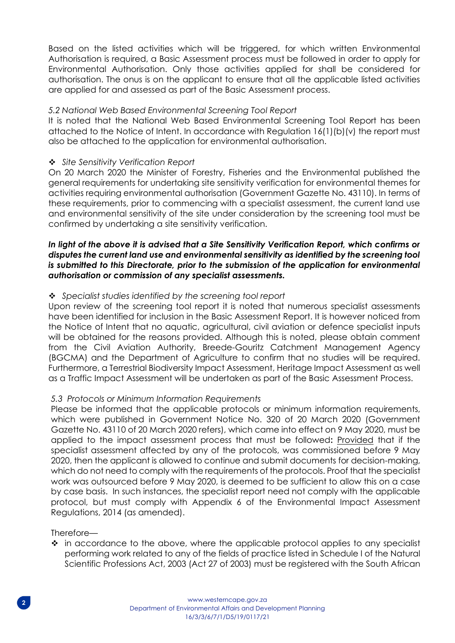Based on the listed activities which will be triggered, for which written Environmental Authorisation is required, a Basic Assessment process must be followed in order to apply for Environmental Authorisation. Only those activities applied for shall be considered for authorisation. The onus is on the applicant to ensure that all the applicable listed activities are applied for and assessed as part of the Basic Assessment process.

# *5.2 National Web Based Environmental Screening Tool Report*

It is noted that the National Web Based Environmental Screening Tool Report has been attached to the Notice of Intent. In accordance with Regulation 16(1)(b)(v) the report must also be attached to the application for environmental authorisation.

# ❖ *Site Sensitivity Verification Report*

On 20 March 2020 the Minister of Forestry, Fisheries and the Environmental published the general requirements for undertaking site sensitivity verification for environmental themes for activities requiring environmental authorisation (Government Gazette No. 43110). In terms of these requirements, prior to commencing with a specialist assessment, the current land use and environmental sensitivity of the site under consideration by the screening tool must be confirmed by undertaking a site sensitivity verification.

# *In light of the above it is advised that a Site Sensitivity Verification Report, which confirms or disputes the current land use and environmental sensitivity as identified by the screening tool is submitted to this Directorate, prior to the submission of the application for environmental authorisation or commission of any specialist assessments.*

# ❖ *Specialist studies identified by the screening tool report*

Upon review of the screening tool report it is noted that numerous specialist assessments have been identified for inclusion in the Basic Assessment Report. It is however noticed from the Notice of Intent that no aquatic, agricultural, civil aviation or defence specialist inputs will be obtained for the reasons provided. Although this is noted, please obtain comment from the Civil Aviation Authority, Breede-Gouritz Catchment Management Agency (BGCMA) and the Department of Agriculture to confirm that no studies will be required. Furthermore, a Terrestrial Biodiversity Impact Assessment, Heritage Impact Assessment as well as a Traffic Impact Assessment will be undertaken as part of the Basic Assessment Process.

## *5.3 Protocols or Minimum Information Requirements*

Please be informed that the applicable protocols or minimum information requirements, which were published in Government Notice No. 320 of 20 March 2020 (Government Gazette No. 43110 of 20 March 2020 refers), which came into effect on 9 May 2020, must be applied to the impact assessment process that must be followed**:** Provided that if the specialist assessment affected by any of the protocols, was commissioned before 9 May 2020, then the applicant is allowed to continue and submit documents for decision-making, which do not need to comply with the requirements of the protocols. Proof that the specialist work was outsourced before 9 May 2020, is deemed to be sufficient to allow this on a case by case basis. In such instances, the specialist report need not comply with the applicable protocol, but must comply with Appendix 6 of the Environmental Impact Assessment Regulations, 2014 (as amended).

Therefore—

❖ in accordance to the above, where the applicable protocol applies to any specialist performing work related to any of the fields of practice listed in Schedule I of the Natural Scientific Professions Act, 2003 (Act 27 of 2003) must be registered with the South African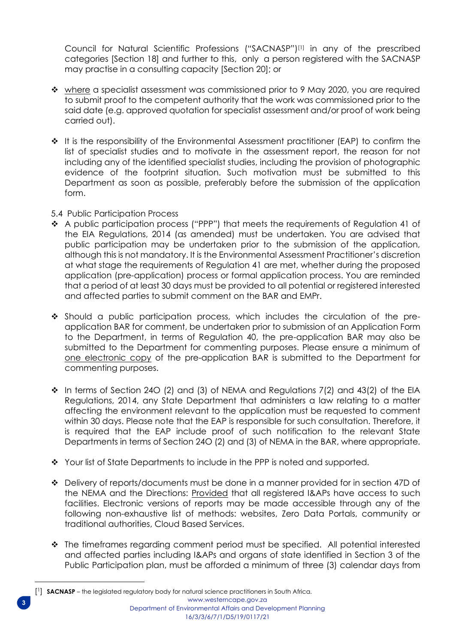Council for Natural Scientific Professions ("SACNASP")[1] in any of the prescribed categories [Section 18] and further to this, only a person registered with the SACNASP may practise in a consulting capacity [Section 20]; or

- ❖ where a specialist assessment was commissioned prior to 9 May 2020, you are required to submit proof to the competent authority that the work was commissioned prior to the said date (e.g. approved quotation for specialist assessment and/or proof of work being carried out).
- ❖ It is the responsibility of the Environmental Assessment practitioner (EAP) to confirm the list of specialist studies and to motivate in the assessment report, the reason for not including any of the identified specialist studies, including the provision of photographic evidence of the footprint situation. Such motivation must be submitted to this Department as soon as possible, preferably before the submission of the application form.
- 5.4 Public Participation Process
- ❖ A public participation process ("PPP") that meets the requirements of Regulation 41 of the EIA Regulations, 2014 (as amended) must be undertaken. You are advised that public participation may be undertaken prior to the submission of the application, although this is not mandatory. It is the Environmental Assessment Practitioner's discretion at what stage the requirements of Regulation 41 are met, whether during the proposed application (pre-application) process or formal application process. You are reminded that a period of at least 30 days must be provided to all potential or registered interested and affected parties to submit comment on the BAR and EMPr.
- ❖ Should a public participation process, which includes the circulation of the preapplication BAR for comment, be undertaken prior to submission of an Application Form to the Department, in terms of Regulation 40, the pre-application BAR may also be submitted to the Department for commenting purposes. Please ensure a minimum of one electronic copy of the pre-application BAR is submitted to the Department for commenting purposes.
- $\div$  In terms of Section 240 (2) and (3) of NEMA and Regulations 7(2) and 43(2) of the EIA Regulations, 2014, any State Department that administers a law relating to a matter affecting the environment relevant to the application must be requested to comment within 30 days. Please note that the EAP is responsible for such consultation. Therefore, it is required that the EAP include proof of such notification to the relevant State Departments in terms of Section 24O (2) and (3) of NEMA in the BAR, where appropriate.
- $\clubsuit$  Your list of State Departments to include in the PPP is noted and supported.
- ❖ Delivery of reports/documents must be done in a manner provided for in section 47D of the NEMA and the Directions: **Provided** that all registered I&APs have access to such facilities. Electronic versions of reports may be made accessible through any of the following non-exhaustive list of methods: websites, Zero Data Portals, community or traditional authorities, Cloud Based Services.
- ❖ The timeframes regarding comment period must be specified. All potential interested and affected parties including I&APs and organs of state identified in Section 3 of the Public Participation plan, must be afforded a minimum of three (3) calendar days from

[www.westerncape.gov.za](http://www.westerncape.gov.za/) Department of Environmental Affairs and Development Planning 16/3/3/6/7/1/D5/19/0117/21 [ <sup>1</sup>] **SACNASP** – the legislated regulatory body for natural science practitioners in South Africa.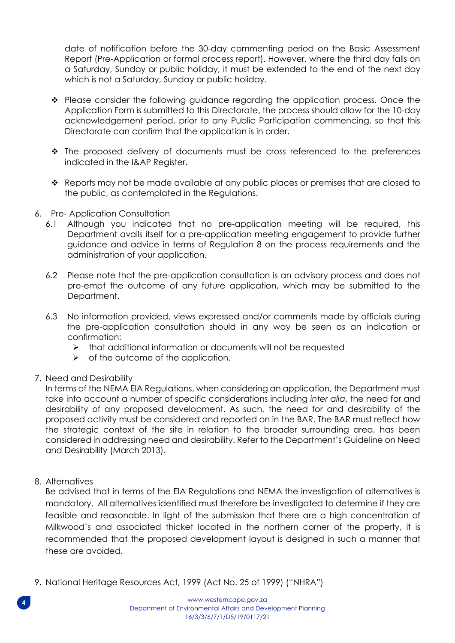date of notification before the 30-day commenting period on the Basic Assessment Report (Pre-Application or formal process report). However, where the third day falls on a Saturday, Sunday or public holiday, it must be extended to the end of the next day which is not a Saturday, Sunday or public holiday.

- ❖ Please consider the following guidance regarding the application process. Once the Application Form is submitted to this Directorate, the process should allow for the 10-day acknowledgement period, prior to any Public Participation commencing, so that this Directorate can confirm that the application is in order.
- ❖ The proposed delivery of documents must be cross referenced to the preferences indicated in the I&AP Register.
- ❖ Reports may not be made available at any public places or premises that are closed to the public, as contemplated in the Regulations.
- 6. Pre- Application Consultation
	- 6.1 Although you indicated that no pre-application meeting will be required, this Department avails itself for a pre-application meeting engagement to provide further guidance and advice in terms of Regulation 8 on the process requirements and the administration of your application.
	- 6.2 Please note that the pre-application consultation is an advisory process and does not pre-empt the outcome of any future application, which may be submitted to the Department.
	- 6.3 No information provided, views expressed and/or comments made by officials during the pre-application consultation should in any way be seen as an indication or confirmation:
		- ➢ that additional information or documents will not be requested
		- $\triangleright$  of the outcome of the application.
- 7. Need and Desirability

In terms of the NEMA EIA Regulations, when considering an application, the Department must take into account a number of specific considerations including *inter alia*, the need for and desirability of any proposed development. As such, the need for and desirability of the proposed activity must be considered and reported on in the BAR. The BAR must reflect how the strategic context of the site in relation to the broader surrounding area, has been considered in addressing need and desirability. Refer to the Department's Guideline on Need and Desirability (March 2013).

8. Alternatives

Be advised that in terms of the EIA Regulations and NEMA the investigation of alternatives is mandatory. All alternatives identified must therefore be investigated to determine if they are feasible and reasonable. In light of the submission that there are a high concentration of Milkwood's and associated thicket located in the northern corner of the property, it is recommended that the proposed development layout is designed in such a manner that these are avoided.

9. National Heritage Resources Act, 1999 (Act No. 25 of 1999) ("NHRA")

**4**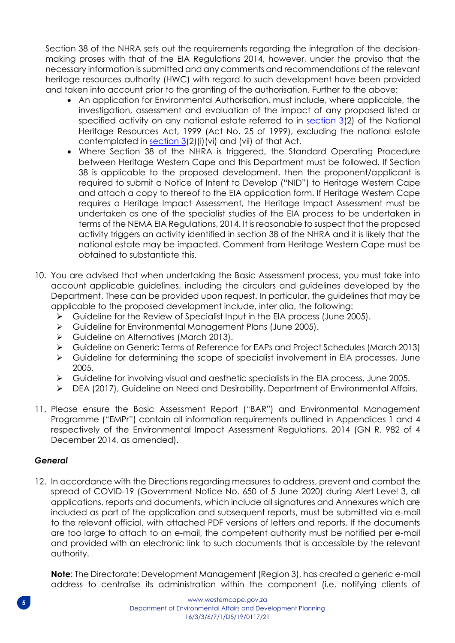Section 38 of the NHRA sets out the requirements regarding the integration of the decisionmaking proses with that of the EIA Regulations 2014, however, under the proviso that the necessary information is submitted and any comments and recommendations of the relevant heritage resources authority (HWC) with regard to such development have been provided and taken into account prior to the granting of the authorisation. Further to the above:

- An application for Environmental Authorisation, must include, where applicable, the investigation, assessment and evaluation of the impact of any proposed listed or specified activity on any national estate referred to in section  $3(2)$  of the National Heritage Resources Act, 1999 (Act No. 25 of 1999), excluding the national estate contemplated in [section 3\(](http://search.sabinet.co.za/netlawpdf/netlaw/NATIONAL%20HERITAGE%20RESOURCES%20ACT.htm#section3)2)(i)(vi) and (vii) of that Act.
- Where Section 38 of the NHRA is triggered, the Standard Operating Procedure between Heritage Western Cape and this Department must be followed. If Section 38 is applicable to the proposed development, then the proponent/applicant is required to submit a Notice of Intent to Develop ("NID") to Heritage Western Cape and attach a copy to thereof to the EIA application form. If Heritage Western Cape requires a Heritage Impact Assessment, the Heritage Impact Assessment must be undertaken as one of the specialist studies of the EIA process to be undertaken in terms of the NEMA EIA Regulations, 2014. It is reasonable to suspect that the proposed activity triggers an activity identified in section 38 of the NHRA and it is likely that the national estate may be impacted. Comment from Heritage Western Cape must be obtained to substantiate this.
- 10. You are advised that when undertaking the Basic Assessment process, you must take into account applicable guidelines, including the circulars and guidelines developed by the Department. These can be provided upon request. In particular, the guidelines that may be applicable to the proposed development include, inter alia, the following:
	- ➢ Guideline for the Review of Specialist Input in the EIA process (June 2005).
	- ➢ Guideline for Environmental Management Plans (June 2005).
	- ➢ Guideline on Alternatives (March 2013).
	- ➢ Guideline on Generic Terms of Reference for EAPs and Project Schedules (March 2013)
	- ➢ Guideline for determining the scope of specialist involvement in EIA processes, June 2005.
	- ➢ Guideline for involving visual and aesthetic specialists in the EIA process, June 2005.
	- ➢ DEA (2017), Guideline on Need and Desirability, Department of Environmental Affairs.
- 11. Please ensure the Basic Assessment Report ("BAR") and Environmental Management Programme ("EMPr") contain all information requirements outlined in Appendices 1 and 4 respectively of the Environmental Impact Assessment Regulations, 2014 (GN R. 982 of 4 December 2014, as amended).

# *General*

12. In accordance with the Directions regarding measures to address, prevent and combat the spread of COVID-19 (Government Notice No. 650 of 5 June 2020) during Alert Level 3, all applications, reports and documents, which include all signatures and Annexures which are included as part of the application and subsequent reports, must be submitted via e-mail to the relevant official, with attached PDF versions of letters and reports. If the documents are too large to attach to an e-mail, the competent authority must be notified per e-mail and provided with an electronic link to such documents that is accessible by the relevant authority.

**Note**: The Directorate: Development Management (Region 3), has created a generic e-mail address to centralise its administration within the component (i.e. notifying clients of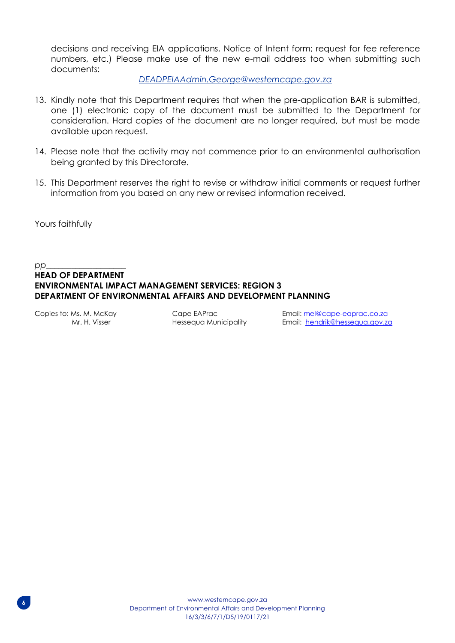decisions and receiving EIA applications, Notice of Intent form; request for fee reference numbers, etc.) Please make use of the new e-mail address too when submitting such documents:

#### *[DEADPEIAAdmin.George@westerncape.gov.za](mailto:DEADPEIAAdmin.George@westerncape.gov.za)*

- 13. Kindly note that this Department requires that when the pre-application BAR is submitted, one (1) electronic copy of the document must be submitted to the Department for consideration. Hard copies of the document are no longer required, but must be made available upon request.
- 14. Please note that the activity may not commence prior to an environmental authorisation being granted by this Directorate.
- 15. This Department reserves the right to revise or withdraw initial comments or request further information from you based on any new or revised information received.

Yours faithfully

#### *pp*\_\_\_\_\_\_\_\_\_\_\_\_\_\_\_\_\_\_\_ **HEAD OF DEPARTMENT ENVIRONMENTAL IMPACT MANAGEMENT SERVICES: REGION 3 DEPARTMENT OF ENVIRONMENTAL AFFAIRS AND DEVELOPMENT PLANNING**

Copies to: Ms. M. McKay Cape EAPrac Email: [mel@cape-eaprac.co.za](mailto:mel@cape-eaprac.co.za) Mr. H. Visser Hessequa Municipality Email: [hendrik@hessequa.gov.za](mailto:hendrik@hessequa.gov.za)